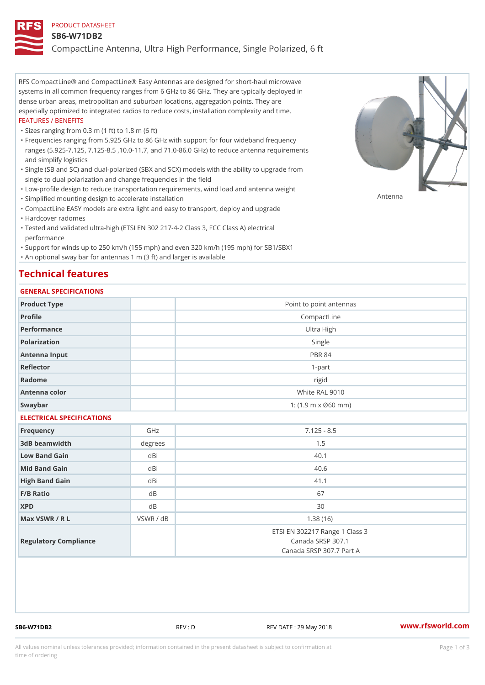#### PRODUCT DATASHEET

#### SB6-W71DB2

CompactLine Antenna, Ultra High Performance, Single Polarized, 6 ft

RFS CompactLine® and CompactLine® Easy Antennas are designed for short-haul microwave systems in all common frequency ranges from 6 GHz to 86 GHz. They are typically deployed in dense urban areas, metropolitan and suburban locations, aggregation points. They are especially optimized to integrated radios to reduce costs, installation complexity and time. FEATURES / BENEFITS

"Sizes ranging from 0.3 m (1 ft) to 1.8 m (6 ft)

- Frequencies ranging from 5.925 GHz to 86 GHz with support for four wideband frequency " ranges (5.925-7.125, 7.125-8.5 ,10.0-11.7, and 71.0-86.0 GHz) to reduce antenna requirements and simplify logistics
- Single (SB and SC) and dual-polarized (SBX and SCX) models with the ability to upgrade from " single to dual polarization and change frequencies in the field
- "Low-profile design to reduce transportation requirements, wind load and antenna weight
- "Simplified mounting design to accelerate installation

 "CompactLine EASY models are extra light and easy to transport, deploy and upgrade "Hardcover radomes

Tested and validated ultra-high (ETSI EN 302 217-4-2 Class 3, FCC Class A) electrical " performance

 "Support for winds up to 250 km/h (155 mph) and even 320 km/h (195 mph) for SB1/SBX1 "An optional sway bar for antennas 1 m (3 ft) and larger is available

## Technical features

## GENERAL SPECIFICATIONS

| OLIVLINAL OI LOII IOA I IONO |               |                                                                                 |  |  |
|------------------------------|---------------|---------------------------------------------------------------------------------|--|--|
| Product Type                 |               | Point to point antennas                                                         |  |  |
| Profile                      |               | CompactLine                                                                     |  |  |
| Performance                  |               | Ultra High                                                                      |  |  |
| Polarization                 | Single        |                                                                                 |  |  |
| Antenna Input                | <b>PBR 84</b> |                                                                                 |  |  |
| Reflector                    | $1 - p$ art   |                                                                                 |  |  |
| Radome                       |               | rigid                                                                           |  |  |
| Antenna color                |               | White RAL 9010                                                                  |  |  |
| Swaybar                      |               | 1: (1.9 m x Ø60 mm)                                                             |  |  |
| ELECTRICAL SPECIFICATIONS    |               |                                                                                 |  |  |
| Frequency                    | GHz           | $7.125 - 8.5$                                                                   |  |  |
| 3dB beamwidth                | degree        | 1.5                                                                             |  |  |
| Low Band Gain                | dBi           | 40.1                                                                            |  |  |
| Mid Band Gain                | dBi           | 40.6                                                                            |  |  |
| High Band Gain               | dBi           | 41.1                                                                            |  |  |
| $F/B$ Ratio                  | d B           | 67                                                                              |  |  |
| <b>XPD</b>                   | d B           | 30                                                                              |  |  |
| Max VSWR / R L               | VSWR / dB     | 1.38(16)                                                                        |  |  |
| Regulatory Compliance        |               | ETSI EN 302217 Range 1 Class 3<br>Canada SRSP 307.1<br>Canada SRSP 307.7 Part A |  |  |

SB6-W71DB2 REV : D REV DATE : 29 May 2018 [www.](https://www.rfsworld.com)rfsworld.com

Antenna

All values nominal unless tolerances provided; information contained in the present datasheet is subject to Pcapgeign mation time of ordering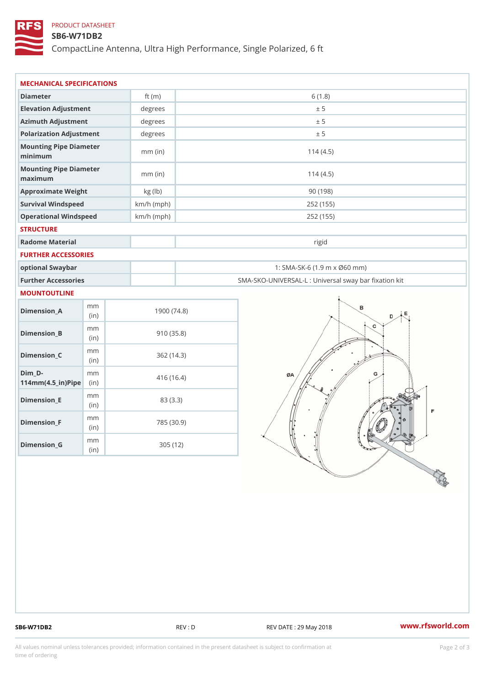## PRODUCT DATASHEET

#### SB6-W71DB2

CompactLine Antenna, Ultra High Performance, Single Polarized, 6 ft

| MECHANICAL SPECIFICATIONS                                                      |              |                                                   |
|--------------------------------------------------------------------------------|--------------|---------------------------------------------------|
| Diameter                                                                       | ft $(m)$     | 6(1.8)                                            |
| Elevation Adjustment                                                           | degrees      | ± 5                                               |
| Azimuth Adjustment                                                             | degrees      | ± 5                                               |
| Polarization Adjustment                                                        | degrees      | ± 5                                               |
| Mounting Pipe Diameter<br>minimum                                              | $mm$ (in)    | 114(4.5)                                          |
| Mounting Pipe Diameter<br>maximum                                              | $mm$ (in)    | 114(4.5)                                          |
| Approximate Weight                                                             | kg (lb)      | 90(198)                                           |
| Survival Windspeed                                                             | $km/h$ (mph) | 252 (155)                                         |
| Operational Windspeed                                                          | $km/h$ (mph) | 252 (155)                                         |
| <b>STRUCTURE</b>                                                               |              |                                                   |
| Radome Material                                                                |              | rigid                                             |
| FURTHER ACCESSORIES                                                            |              |                                                   |
| optional Swaybar                                                               |              | 1: SMA-SK-6 (1.9 m x Ø60 mm)                      |
| Further Accessories                                                            |              | SMA-SKO-UNIVERSAL-L : Universal sway bar fixation |
| MOUNTOUTLINE                                                                   |              |                                                   |
| m m<br>$Dimen sion_A$<br>(in)                                                  |              | 1900(74.8)                                        |
| m m<br>$Dimension_B$<br>(in)                                                   |              | 910(35.8)                                         |
| m m<br>$Dimension_C$<br>(in)                                                   |              | 362(14.3)                                         |
| $Dim_D - D -$<br>m m<br>$114$ m m (4.5 _ ir ) $\sqrt{$ ii p $\sqrt{$ $\approx$ |              | 416 (16.4)                                        |
| m m<br>$Dimension$ = E<br>(in)                                                 |              | 83 (3.3)                                          |
| m m<br>Dimension_F<br>(i n)                                                    |              | 785 (30.9)                                        |
|                                                                                |              | 305(12)                                           |

SB6-W71DB2 REV : D REV : D REV DATE : 29 May 2018 WWW.rfsworld.com